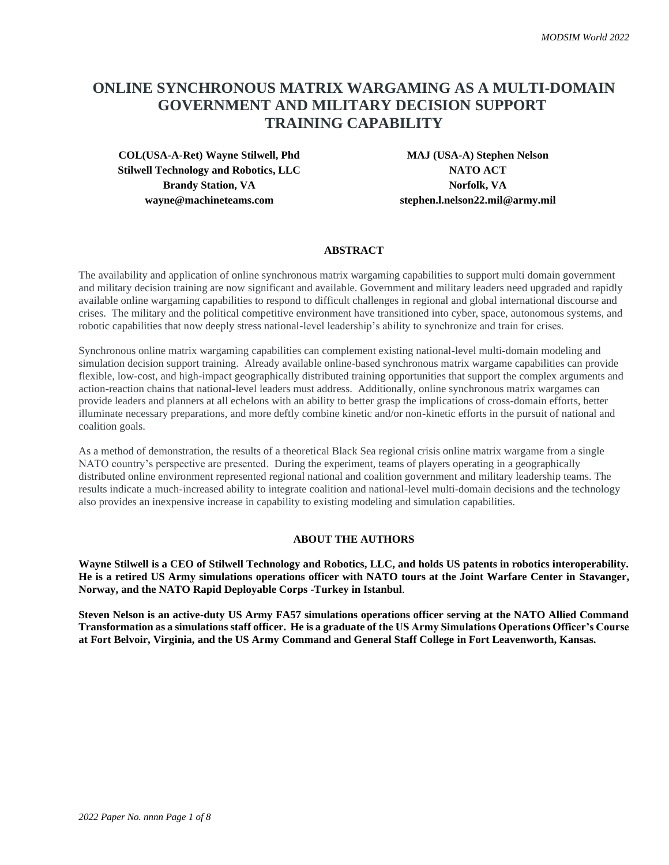# **ONLINE SYNCHRONOUS MATRIX WARGAMING AS A MULTI-DOMAIN GOVERNMENT AND MILITARY DECISION SUPPORT TRAINING CAPABILITY**

**COL(USA-A-Ret) Wayne Stilwell, Phd MAJ (USA-A) Stephen Nelson Stilwell Technology and Robotics, LLC NATO ACT Brandy Station, VA Norfolk, VA wayne@machineteams.com stephen.l.nelson22.mil@army.mil**

#### **ABSTRACT**

The availability and application of online synchronous matrix wargaming capabilities to support multi domain government and military decision training are now significant and available. Government and military leaders need upgraded and rapidly available online wargaming capabilities to respond to difficult challenges in regional and global international discourse and crises. The military and the political competitive environment have transitioned into cyber, space, autonomous systems, and robotic capabilities that now deeply stress national-level leadership's ability to synchronize and train for crises.

Synchronous online matrix wargaming capabilities can complement existing national-level multi-domain modeling and simulation decision support training. Already available online-based synchronous matrix wargame capabilities can provide flexible, low-cost, and high-impact geographically distributed training opportunities that support the complex arguments and action-reaction chains that national-level leaders must address. Additionally, online synchronous matrix wargames can provide leaders and planners at all echelons with an ability to better grasp the implications of cross-domain efforts, better illuminate necessary preparations, and more deftly combine kinetic and/or non-kinetic efforts in the pursuit of national and coalition goals.

As a method of demonstration, the results of a theoretical Black Sea regional crisis online matrix wargame from a single NATO country's perspective are presented. During the experiment, teams of players operating in a geographically distributed online environment represented regional national and coalition government and military leadership teams. The results indicate a much-increased ability to integrate coalition and national-level multi-domain decisions and the technology also provides an inexpensive increase in capability to existing modeling and simulation capabilities.

### **ABOUT THE AUTHORS**

**Wayne Stilwell is a CEO of Stilwell Technology and Robotics, LLC, and holds US patents in robotics interoperability. He is a retired US Army simulations operations officer with NATO tours at the Joint Warfare Center in Stavanger, Norway, and the NATO Rapid Deployable Corps -Turkey in Istanbul**.

**Steven Nelson is an active-duty US Army FA57 simulations operations officer serving at the NATO Allied Command Transformation as a simulations staff officer. He is a graduate of the US Army Simulations Operations Officer's Course at Fort Belvoir, Virginia, and the US Army Command and General Staff College in Fort Leavenworth, Kansas.**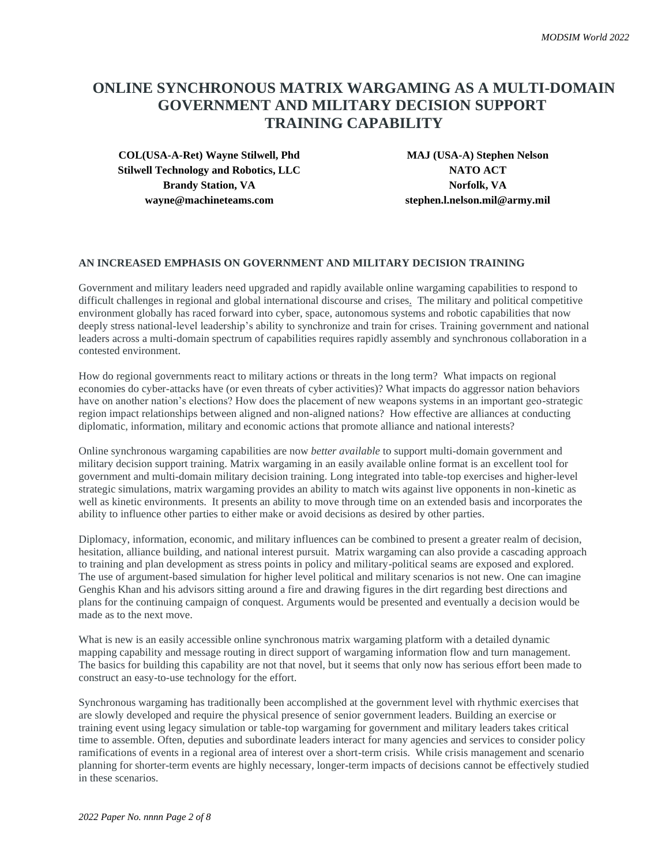# **ONLINE SYNCHRONOUS MATRIX WARGAMING AS A MULTI-DOMAIN GOVERNMENT AND MILITARY DECISION SUPPORT TRAINING CAPABILITY**

**COL(USA-A-Ret) Wayne Stilwell, Phd MAJ (USA-A) Stephen Nelson Stilwell Technology and Robotics, LLC NATO ACT Brandy Station, VA Norfolk, VA wayne@machineteams.com stephen.l.nelson.mil@army.mil**

## **AN INCREASED EMPHASIS ON GOVERNMENT AND MILITARY DECISION TRAINING**

Government and military leaders need upgraded and rapidly available online wargaming capabilities to respond to difficult challenges in regional and global international discourse and crises. The military and political competitive environment globally has raced forward into cyber, space, autonomous systems and robotic capabilities that now deeply stress national-level leadership's ability to synchronize and train for crises. Training government and national leaders across a multi-domain spectrum of capabilities requires rapidly assembly and synchronous collaboration in a contested environment.

How do regional governments react to military actions or threats in the long term? What impacts on regional economies do cyber-attacks have (or even threats of cyber activities)? What impacts do aggressor nation behaviors have on another nation's elections? How does the placement of new weapons systems in an important geo-strategic region impact relationships between aligned and non-aligned nations? How effective are alliances at conducting diplomatic, information, military and economic actions that promote alliance and national interests?

Online synchronous wargaming capabilities are now *better available* to support multi-domain government and military decision support training. Matrix wargaming in an easily available online format is an excellent tool for government and multi-domain military decision training. Long integrated into table-top exercises and higher-level strategic simulations, matrix wargaming provides an ability to match wits against live opponents in non-kinetic as well as kinetic environments. It presents an ability to move through time on an extended basis and incorporates the ability to influence other parties to either make or avoid decisions as desired by other parties.

Diplomacy, information, economic, and military influences can be combined to present a greater realm of decision, hesitation, alliance building, and national interest pursuit. Matrix wargaming can also provide a cascading approach to training and plan development as stress points in policy and military-political seams are exposed and explored. The use of argument-based simulation for higher level political and military scenarios is not new. One can imagine Genghis Khan and his advisors sitting around a fire and drawing figures in the dirt regarding best directions and plans for the continuing campaign of conquest. Arguments would be presented and eventually a decision would be made as to the next move.

What is new is an easily accessible online synchronous matrix wargaming platform with a detailed dynamic mapping capability and message routing in direct support of wargaming information flow and turn management. The basics for building this capability are not that novel, but it seems that only now has serious effort been made to construct an easy-to-use technology for the effort.

Synchronous wargaming has traditionally been accomplished at the government level with rhythmic exercises that are slowly developed and require the physical presence of senior government leaders. Building an exercise or training event using legacy simulation or table-top wargaming for government and military leaders takes critical time to assemble. Often, deputies and subordinate leaders interact for many agencies and services to consider policy ramifications of events in a regional area of interest over a short-term crisis. While crisis management and scenario planning for shorter-term events are highly necessary, longer-term impacts of decisions cannot be effectively studied in these scenarios.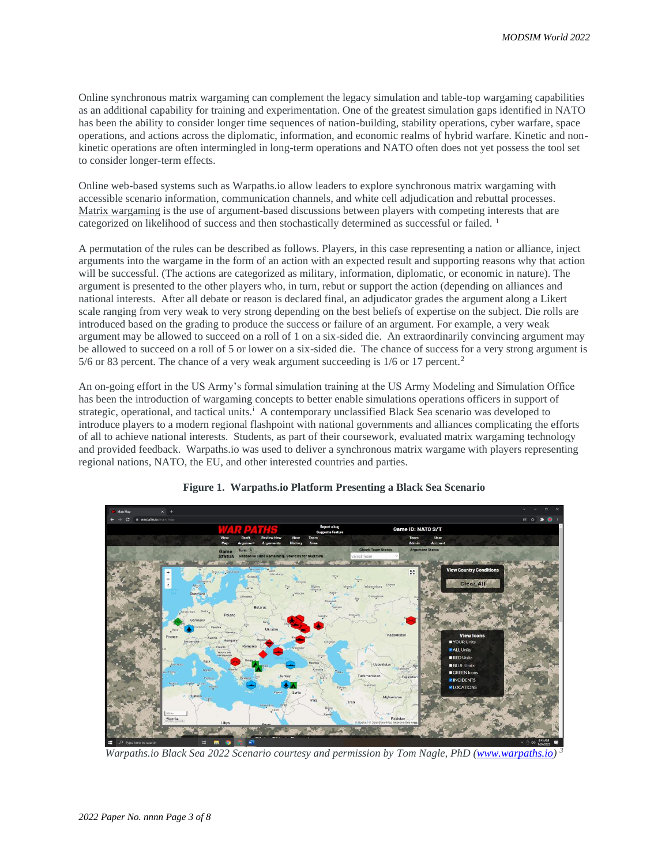Online synchronous matrix wargaming can complement the legacy simulation and table-top wargaming capabilities as an additional capability for training and experimentation. One of the greatest simulation gaps identified in NATO has been the ability to consider longer time sequences of nation-building, stability operations, cyber warfare, space operations, and actions across the diplomatic, information, and economic realms of hybrid warfare. Kinetic and nonkinetic operations are often intermingled in long-term operations and NATO often does not yet possess the tool set to consider longer-term effects.

Online web-based systems such as Warpaths.io allow leaders to explore synchronous matrix wargaming with accessible scenario information, communication channels, and white cell adjudication and rebuttal processes. Matrix wargaming is the use of argument-based discussions between players with competing interests that are categorized on likelihood of success and then stochastically determined as successful or failed.<sup>1</sup>

A permutation of the rules can be described as follows. Players, in this case representing a nation or alliance, inject arguments into the wargame in the form of an action with an expected result and supporting reasons why that action will be successful. (The actions are categorized as military, information, diplomatic, or economic in nature). The argument is presented to the other players who, in turn, rebut or support the action (depending on alliances and national interests. After all debate or reason is declared final, an adjudicator grades the argument along a Likert scale ranging from very weak to very strong depending on the best beliefs of expertise on the subject. Die rolls are introduced based on the grading to produce the success or failure of an argument. For example, a very weak argument may be allowed to succeed on a roll of 1 on a six-sided die. An extraordinarily convincing argument may be allowed to succeed on a roll of 5 or lower on a six-sided die. The chance of success for a very strong argument is 5/6 or 83 percent. The chance of a very weak argument succeeding is  $1/6$  or 17 percent.<sup>2</sup>

An on-going effort in the US Army's formal simulation training at the US Army Modeling and Simulation Office has been the introduction of wargaming concepts to better enable simulations operations officers in support of strategic, operational, and tactical units.<sup>i</sup> A contemporary unclassified Black Sea scenario was developed to introduce players to a modern regional flashpoint with national governments and alliances complicating the efforts of all to achieve national interests. Students, as part of their coursework, evaluated matrix wargaming technology and provided feedback. Warpaths.io was used to deliver a synchronous matrix wargame with players representing regional nations, NATO, the EU, and other interested countries and parties.



## **Figure 1. Warpaths.io Platform Presenting a Black Sea Scenario**

*Warpaths.io Black Sea 2022 Scenario courtesy and permission by Tom Nagle, PhD [\(www.warpaths.io\)](http://www.warpaths.io/) <sup>3</sup>*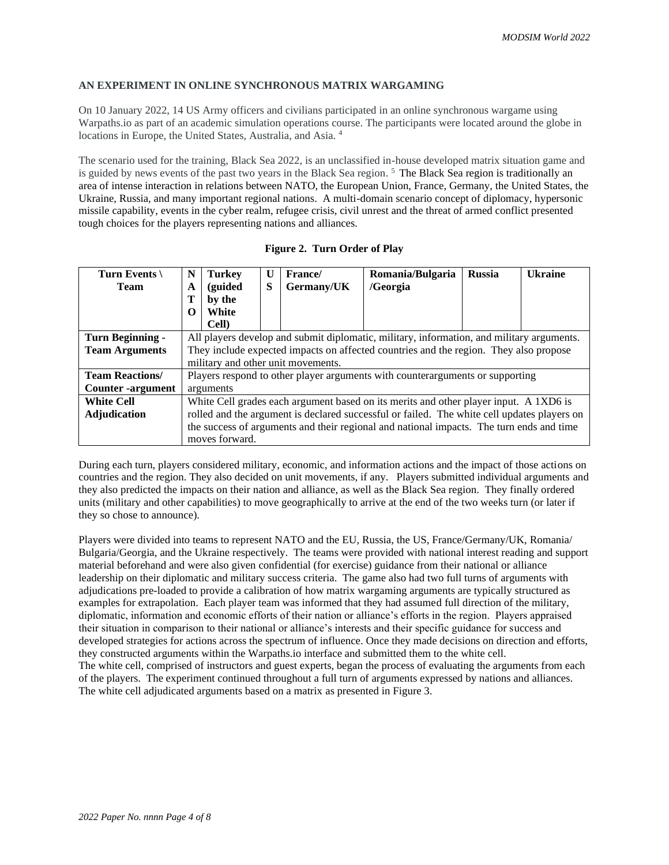## **AN EXPERIMENT IN ONLINE SYNCHRONOUS MATRIX WARGAMING**

On 10 January 2022, 14 US Army officers and civilians participated in an online synchronous wargame using Warpaths.io as part of an academic simulation operations course. The participants were located around the globe in locations in Europe, the United States, Australia, and Asia. <sup>4</sup>

The scenario used for the training, Black Sea 2022, is an unclassified in-house developed matrix situation game and is guided by news events of the past two years in the Black Sea region.<sup>5</sup> The Black Sea region is traditionally an area of intense interaction in relations between NATO, the European Union, France, Germany, the United States, the Ukraine, Russia, and many important regional nations. A multi-domain scenario concept of diplomacy, hypersonic missile capability, events in the cyber realm, refugee crisis, civil unrest and the threat of armed conflict presented tough choices for the players representing nations and alliances.

| Turn Events              | N                                                                                           | <b>Turkey</b> | $\mathbf{U}$ | France/    | Romania/Bulgaria | <b>Russia</b> | <b>Ukraine</b> |
|--------------------------|---------------------------------------------------------------------------------------------|---------------|--------------|------------|------------------|---------------|----------------|
| <b>Team</b>              | A                                                                                           | (guided       | S            | Germany/UK | /Georgia         |               |                |
|                          | Т                                                                                           | by the        |              |            |                  |               |                |
|                          | 0                                                                                           | White         |              |            |                  |               |                |
|                          |                                                                                             | Cell)         |              |            |                  |               |                |
| Turn Beginning -         | All players develop and submit diplomatic, military, information, and military arguments.   |               |              |            |                  |               |                |
| <b>Team Arguments</b>    | They include expected impacts on affected countries and the region. They also propose       |               |              |            |                  |               |                |
|                          | military and other unit movements.                                                          |               |              |            |                  |               |                |
| <b>Team Reactions/</b>   | Players respond to other player arguments with counterarguments or supporting               |               |              |            |                  |               |                |
| <b>Counter</b> -argument | arguments                                                                                   |               |              |            |                  |               |                |
| <b>White Cell</b>        | White Cell grades each argument based on its merits and other player input. A 1XD6 is       |               |              |            |                  |               |                |
| <b>Adjudication</b>      | rolled and the argument is declared successful or failed. The white cell updates players on |               |              |            |                  |               |                |
|                          | the success of arguments and their regional and national impacts. The turn ends and time    |               |              |            |                  |               |                |
|                          | moves forward.                                                                              |               |              |            |                  |               |                |

During each turn, players considered military, economic, and information actions and the impact of those actions on countries and the region. They also decided on unit movements, if any. Players submitted individual arguments and they also predicted the impacts on their nation and alliance, as well as the Black Sea region. They finally ordered units (military and other capabilities) to move geographically to arrive at the end of the two weeks turn (or later if they so chose to announce).

Players were divided into teams to represent NATO and the EU, Russia, the US, France/Germany/UK, Romania/ Bulgaria/Georgia, and the Ukraine respectively. The teams were provided with national interest reading and support material beforehand and were also given confidential (for exercise) guidance from their national or alliance leadership on their diplomatic and military success criteria. The game also had two full turns of arguments with adjudications pre-loaded to provide a calibration of how matrix wargaming arguments are typically structured as examples for extrapolation. Each player team was informed that they had assumed full direction of the military, diplomatic, information and economic efforts of their nation or alliance's efforts in the region. Players appraised their situation in comparison to their national or alliance's interests and their specific guidance for success and developed strategies for actions across the spectrum of influence. Once they made decisions on direction and efforts, they constructed arguments within the Warpaths.io interface and submitted them to the white cell. The white cell, comprised of instructors and guest experts, began the process of evaluating the arguments from each of the players. The experiment continued throughout a full turn of arguments expressed by nations and alliances. The white cell adjudicated arguments based on a matrix as presented in Figure 3.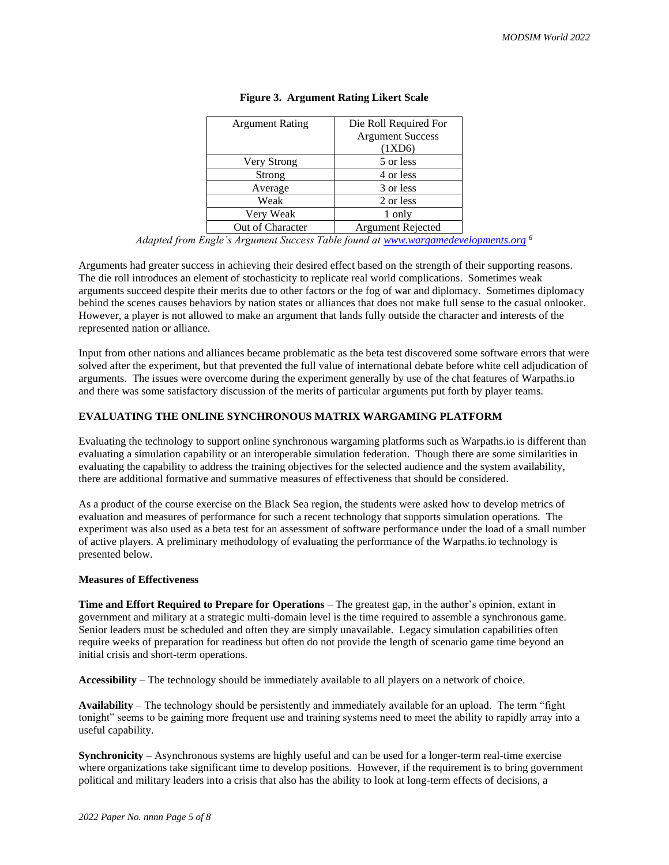| <b>Argument Rating</b> | Die Roll Required For   |  |  |
|------------------------|-------------------------|--|--|
|                        | <b>Argument Success</b> |  |  |
|                        | (1XD6)                  |  |  |
| Very Strong            | 5 or less               |  |  |
| Strong                 | 4 or less               |  |  |
| Average                | 3 or less               |  |  |
| Weak                   | 2 or less               |  |  |
| Very Weak              | 1 only                  |  |  |
| Out of Character       | Argument Rejected       |  |  |

#### **Figure 3. Argument Rating Likert Scale**

Arguments had greater success in achieving their desired effect based on the strength of their supporting reasons. The die roll introduces an element of stochasticity to replicate real world complications. Sometimes weak arguments succeed despite their merits due to other factors or the fog of war and diplomacy. Sometimes diplomacy behind the scenes causes behaviors by nation states or alliances that does not make full sense to the casual onlooker. However, a player is not allowed to make an argument that lands fully outside the character and interests of the represented nation or alliance.

Input from other nations and alliances became problematic as the beta test discovered some software errors that were solved after the experiment, but that prevented the full value of international debate before white cell adjudication of arguments. The issues were overcome during the experiment generally by use of the chat features of Warpaths.io and there was some satisfactory discussion of the merits of particular arguments put forth by player teams.

## **EVALUATING THE ONLINE SYNCHRONOUS MATRIX WARGAMING PLATFORM**

Evaluating the technology to support online synchronous wargaming platforms such as Warpaths.io is different than evaluating a simulation capability or an interoperable simulation federation. Though there are some similarities in evaluating the capability to address the training objectives for the selected audience and the system availability, there are additional formative and summative measures of effectiveness that should be considered.

As a product of the course exercise on the Black Sea region, the students were asked how to develop metrics of evaluation and measures of performance for such a recent technology that supports simulation operations. The experiment was also used as a beta test for an assessment of software performance under the load of a small number of active players. A preliminary methodology of evaluating the performance of the Warpaths.io technology is presented below.

#### **Measures of Effectiveness**

**Time and Effort Required to Prepare for Operations** – The greatest gap, in the author's opinion, extant in government and military at a strategic multi-domain level is the time required to assemble a synchronous game. Senior leaders must be scheduled and often they are simply unavailable. Legacy simulation capabilities often require weeks of preparation for readiness but often do not provide the length of scenario game time beyond an initial crisis and short-term operations.

**Accessibility** – The technology should be immediately available to all players on a network of choice.

**Availability** – The technology should be persistently and immediately available for an upload. The term "fight tonight" seems to be gaining more frequent use and training systems need to meet the ability to rapidly array into a useful capability.

**Synchronicity** – Asynchronous systems are highly useful and can be used for a longer-term real-time exercise where organizations take significant time to develop positions. However, if the requirement is to bring government political and military leaders into a crisis that also has the ability to look at long-term effects of decisions, a

*Adapted from Engle's Argument Success Table found at [www.wargamedevelopments.org](http://www.wargamedevelopments.org/) <sup>6</sup>*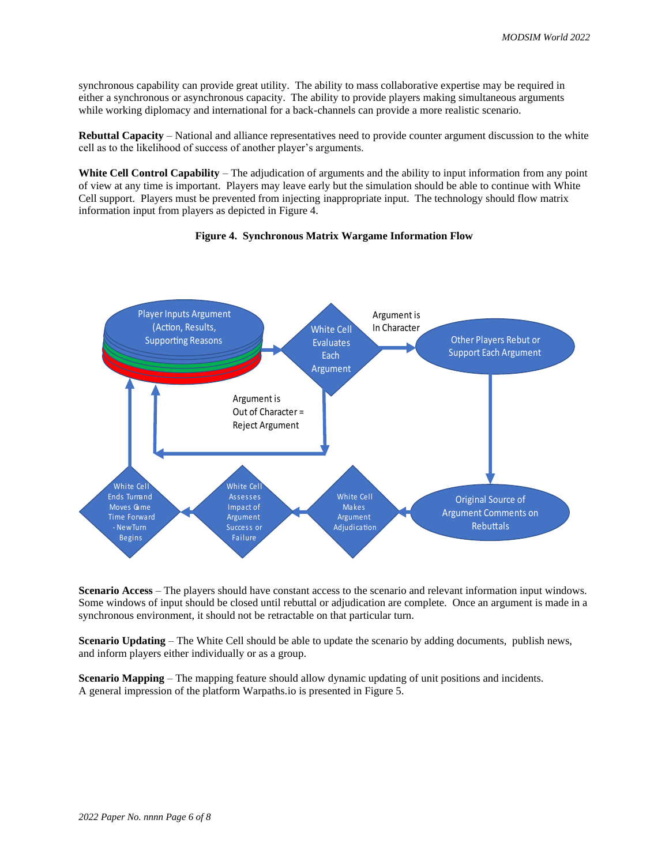synchronous capability can provide great utility. The ability to mass collaborative expertise may be required in either a synchronous or asynchronous capacity. The ability to provide players making simultaneous arguments while working diplomacy and international for a back-channels can provide a more realistic scenario.

**Rebuttal Capacity** – National and alliance representatives need to provide counter argument discussion to the white cell as to the likelihood of success of another player's arguments.

**White Cell Control Capability** – The adjudication of arguments and the ability to input information from any point of view at any time is important. Players may leave early but the simulation should be able to continue with White Cell support. Players must be prevented from injecting inappropriate input. The technology should flow matrix information input from players as depicted in Figure 4.





**Scenario Access** – The players should have constant access to the scenario and relevant information input windows. Some windows of input should be closed until rebuttal or adjudication are complete. Once an argument is made in a synchronous environment, it should not be retractable on that particular turn.

**Scenario Updating** *–* The White Cell should be able to update the scenario by adding documents, publish news, and inform players either individually or as a group.

**Scenario Mapping** *–* The mapping feature should allow dynamic updating of unit positions and incidents. A general impression of the platform Warpaths.io is presented in Figure 5.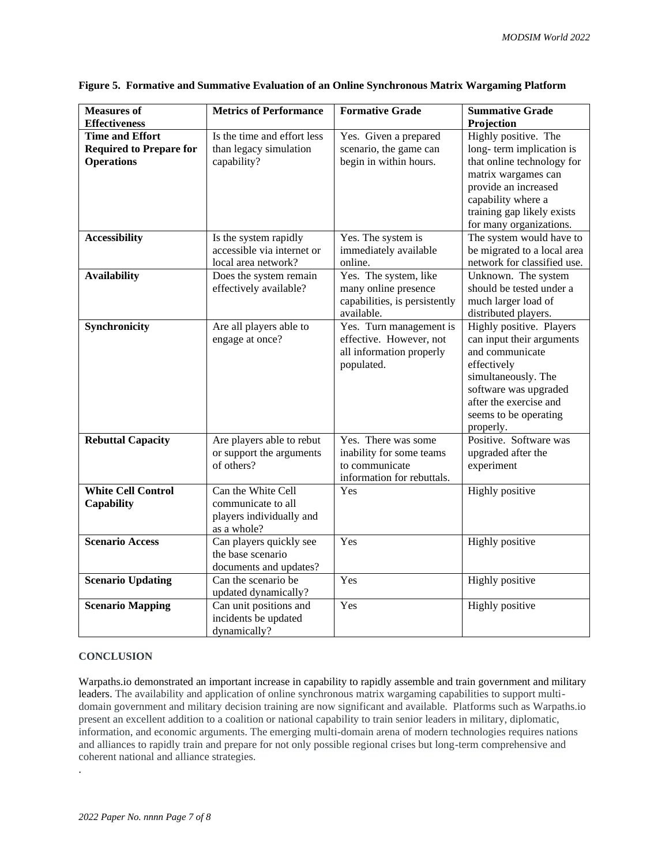| <b>Measures of</b><br><b>Effectiveness</b> | <b>Metrics of Performance</b>                  | <b>Formative Grade</b>        | <b>Summative Grade</b>      |
|--------------------------------------------|------------------------------------------------|-------------------------------|-----------------------------|
|                                            |                                                |                               | Projection                  |
| <b>Time and Effort</b>                     | Is the time and effort less                    | Yes. Given a prepared         | Highly positive. The        |
| <b>Required to Prepare for</b>             | than legacy simulation                         | scenario, the game can        | long-term implication is    |
| <b>Operations</b>                          | capability?                                    | begin in within hours.        | that online technology for  |
|                                            |                                                |                               | matrix wargames can         |
|                                            |                                                |                               | provide an increased        |
|                                            |                                                |                               | capability where a          |
|                                            |                                                |                               | training gap likely exists  |
|                                            |                                                |                               | for many organizations.     |
| <b>Accessibility</b>                       | Is the system rapidly                          | Yes. The system is            | The system would have to    |
|                                            | accessible via internet or                     | immediately available         | be migrated to a local area |
|                                            | local area network?                            | online.                       | network for classified use. |
| <b>Availability</b>                        | Does the system remain                         | Yes. The system, like         | Unknown. The system         |
|                                            | effectively available?                         | many online presence          | should be tested under a    |
|                                            |                                                | capabilities, is persistently | much larger load of         |
|                                            |                                                | available.                    | distributed players.        |
| Synchronicity                              | Are all players able to                        | Yes. Turn management is       | Highly positive. Players    |
|                                            | engage at once?                                | effective. However, not       | can input their arguments   |
|                                            |                                                | all information properly      | and communicate             |
|                                            |                                                | populated.                    | effectively                 |
|                                            |                                                |                               | simultaneously. The         |
|                                            |                                                |                               | software was upgraded       |
|                                            |                                                |                               | after the exercise and      |
|                                            |                                                |                               | seems to be operating       |
|                                            |                                                |                               | properly.                   |
| <b>Rebuttal Capacity</b>                   | Are players able to rebut                      | Yes. There was some           | Positive. Software was      |
|                                            | or support the arguments                       | inability for some teams      | upgraded after the          |
|                                            | of others?                                     | to communicate                | experiment                  |
|                                            |                                                | information for rebuttals.    |                             |
| <b>White Cell Control</b>                  | Can the White Cell                             | Yes                           | Highly positive             |
| Capability                                 | communicate to all                             |                               |                             |
|                                            | players individually and                       |                               |                             |
|                                            | as a whole?                                    |                               |                             |
| <b>Scenario Access</b>                     | Can players quickly see                        | Yes                           | Highly positive             |
|                                            | the base scenario                              |                               |                             |
|                                            | documents and updates?                         |                               |                             |
| <b>Scenario Updating</b>                   | Can the scenario be                            | Yes                           | Highly positive             |
|                                            |                                                |                               |                             |
| <b>Scenario Mapping</b>                    |                                                |                               |                             |
|                                            | updated dynamically?                           |                               |                             |
|                                            | Can unit positions and<br>incidents be updated | Yes                           | Highly positive             |

## **Figure 5. Formative and Summative Evaluation of an Online Synchronous Matrix Wargaming Platform**

#### **CONCLUSION**

.

Warpaths.io demonstrated an important increase in capability to rapidly assemble and train government and military leaders. The availability and application of online synchronous matrix wargaming capabilities to support multidomain government and military decision training are now significant and available. Platforms such as Warpaths.io present an excellent addition to a coalition or national capability to train senior leaders in military, diplomatic, information, and economic arguments. The emerging multi-domain arena of modern technologies requires nations and alliances to rapidly train and prepare for not only possible regional crises but long-term comprehensive and coherent national and alliance strategies.